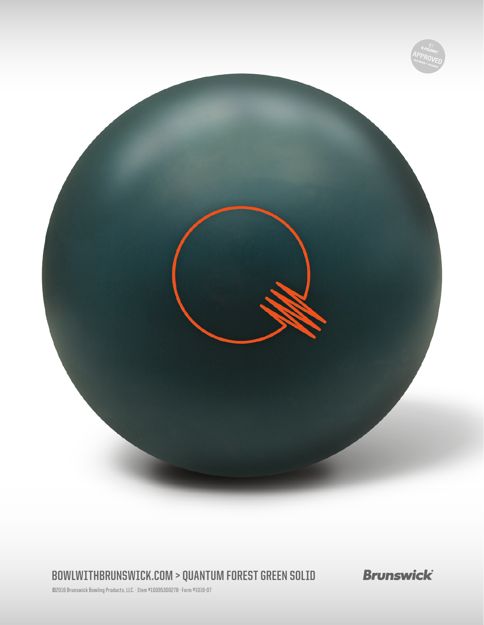

**BOWLWITHBRUNSWICK.COM > QUANTUM FOREST GREEN SOLID**

**Brunswick** 

©2016 Brunswick Bowling Products, LLC. · Item #10095300278 · Form #1016-07